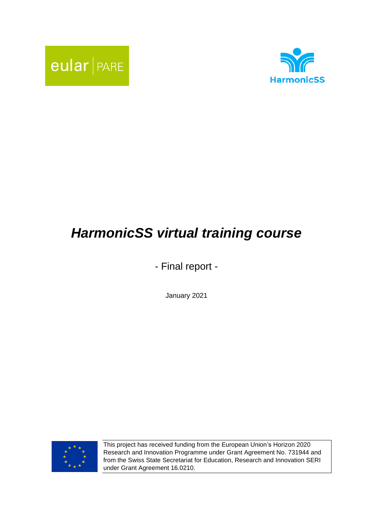



# *HarmonicSS virtual training course*

- Final report -

January 2021



This project has received funding from the European Union's Horizon 2020 Research and Innovation Programme under Grant Agreement No. 731944 and from the Swiss State Secretariat for Education, Research and Innovation SERI under Grant Agreement 16.0210.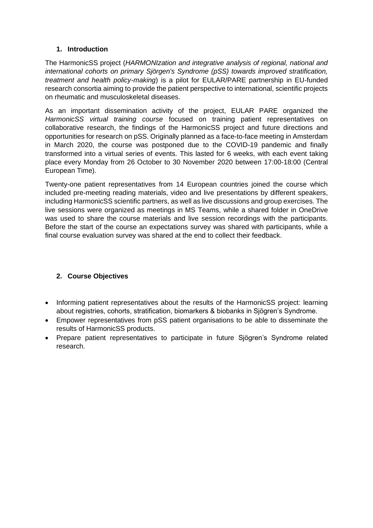# **1. Introduction**

The HarmonicSS project (*HARMONIzation and integrative analysis of regional, national and international cohorts on primary Sjörgen's Syndrome (pSS) towards improved stratification, treatment and health policy-making*) is a pilot for EULAR/PARE partnership in EU-funded research consortia aiming to provide the patient perspective to international, scientific projects on rheumatic and musculoskeletal diseases.

As an important dissemination activity of the project, EULAR PARE organized the *HarmonicSS virtual training course* focused on training patient representatives on collaborative research, the findings of the HarmonicSS project and future directions and opportunities for research on pSS. Originally planned as a face-to-face meeting in Amsterdam in March 2020, the course was postponed due to the COVID-19 pandemic and finally transformed into a virtual series of events. This lasted for 6 weeks, with each event taking place every Monday from 26 October to 30 November 2020 between 17:00-18:00 (Central European Time).

Twenty-one patient representatives from 14 European countries joined the course which included pre-meeting reading materials, video and live presentations by different speakers, including HarmonicSS scientific partners, as well as live discussions and group exercises. The live sessions were organized as meetings in MS Teams, while a shared folder in OneDrive was used to share the course materials and live session recordings with the participants. Before the start of the course an expectations survey was shared with participants, while a final course evaluation survey was shared at the end to collect their feedback.

# **2. Course Objectives**

- Informing patient representatives about the results of the HarmonicSS project: learning about registries, cohorts, stratification, biomarkers & biobanks in Sjögren's Syndrome.
- Empower representatives from pSS patient organisations to be able to disseminate the results of HarmonicSS products.
- Prepare patient representatives to participate in future Sjögren's Syndrome related research.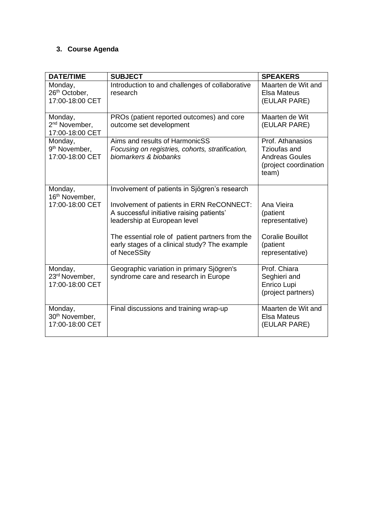# **3. Course Agenda**

| <b>DATE/TIME</b>                                         | <b>SUBJECT</b>                                                                                                         | <b>SPEAKERS</b>                                                                             |
|----------------------------------------------------------|------------------------------------------------------------------------------------------------------------------------|---------------------------------------------------------------------------------------------|
| Monday,<br>26 <sup>th</sup> October,<br>17:00-18:00 CET  | Introduction to and challenges of collaborative<br>research                                                            | Maarten de Wit and<br><b>Elsa Mateus</b><br>(EULAR PARE)                                    |
| Monday,<br>2 <sup>nd</sup> November,<br>17:00-18:00 CET  | PROs (patient reported outcomes) and core<br>outcome set development                                                   | Maarten de Wit<br>(EULAR PARE)                                                              |
| Monday,<br>9 <sup>th</sup> November,<br>17:00-18:00 CET  | Aims and results of HarmonicSS<br>Focusing on registries, cohorts, stratification,<br>biomarkers & biobanks            | Prof. Athanasios<br>Tzioufas and<br><b>Andreas Goules</b><br>(project coordination<br>team) |
| Monday,<br>16 <sup>th</sup> November,                    | Involvement of patients in Sjögren's research                                                                          |                                                                                             |
| 17:00-18:00 CET                                          | Involvement of patients in ERN ReCONNECT:<br>A successful initiative raising patients'<br>leadership at European level | Ana Vieira<br>(patient<br>representative)                                                   |
|                                                          | The essential role of patient partners from the<br>early stages of a clinical study? The example<br>of NeceSSity       | <b>Coralie Bouillot</b><br>(patient<br>representative)                                      |
| Monday,<br>23 <sup>rd</sup> November,<br>17:00-18:00 CET | Geographic variation in primary Sjögren's<br>syndrome care and research in Europe                                      | Prof. Chiara<br>Seghieri and<br>Enrico Lupi<br>(project partners)                           |
| Monday,<br>30 <sup>th</sup> November,<br>17:00-18:00 CET | Final discussions and training wrap-up                                                                                 | Maarten de Wit and<br><b>Elsa Mateus</b><br>(EULAR PARE)                                    |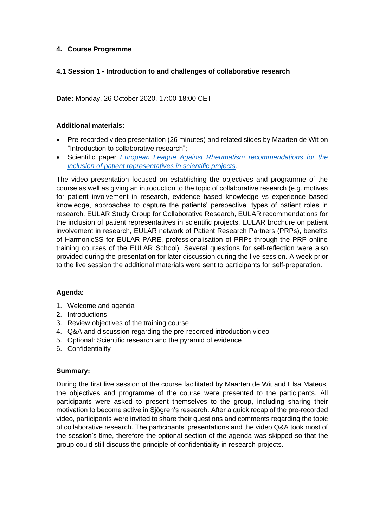# **4. Course Programme**

# **4.1 Session 1 - Introduction to and challenges of collaborative research**

**Date:** Monday, 26 October 2020, 17:00-18:00 CET

# **Additional materials:**

- Pre-recorded video presentation (26 minutes) and related slides by Maarten de Wit on "Introduction to collaborative research";
- Scientific paper *[European League Against Rheumatism recommendations for the](https://ard.bmj.com/content/70/5/722.abstract?sid=1dcaf25a-b356-430f-8bfa-2775c7ebf32e)  [inclusion of patient representatives in scientific projects](https://ard.bmj.com/content/70/5/722.abstract?sid=1dcaf25a-b356-430f-8bfa-2775c7ebf32e)*.

The video presentation focused on establishing the objectives and programme of the course as well as giving an introduction to the topic of collaborative research (e.g. motives for patient involvement in research, evidence based knowledge vs experience based knowledge, approaches to capture the patients' perspective, types of patient roles in research, EULAR Study Group for Collaborative Research, EULAR recommendations for the inclusion of patient representatives in scientific projects, EULAR brochure on patient involvement in research, EULAR network of Patient Research Partners (PRPs), benefits of HarmonicSS for EULAR PARE, professionalisation of PRPs through the PRP online training courses of the EULAR School). Several questions for self-reflection were also provided during the presentation for later discussion during the live session. A week prior to the live session the additional materials were sent to participants for self-preparation.

# **Agenda:**

- 1. Welcome and agenda
- 2. Introductions
- 3. Review objectives of the training course
- 4. Q&A and discussion regarding the pre-recorded introduction video
- 5. Optional: Scientific research and the pyramid of evidence
- 6. Confidentiality

# **Summary:**

During the first live session of the course facilitated by Maarten de Wit and Elsa Mateus, the objectives and programme of the course were presented to the participants. All participants were asked to present themselves to the group, including sharing their motivation to become active in Sjögren's research. After a quick recap of the pre-recorded video, participants were invited to share their questions and comments regarding the topic of collaborative research. The participants' presentations and the video Q&A took most of the session's time, therefore the optional section of the agenda was skipped so that the group could still discuss the principle of confidentiality in research projects.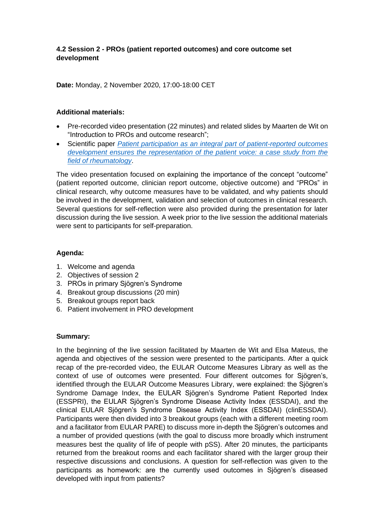# **4.2 Session 2 - PROs (patient reported outcomes) and core outcome set development**

**Date:** Monday, 2 November 2020, 17:00-18:00 CET

#### **Additional materials:**

- Pre-recorded video presentation (22 minutes) and related slides by Maarten de Wit on "Introduction to PROs and outcome research";
- Scientific paper *[Patient participation as an integral part of patient-reported outcomes](https://rmdopen.bmj.com/content/1/1/e000129)  [development ensures the representation of the patient voice: a case study from the](https://rmdopen.bmj.com/content/1/1/e000129)  [field of rheumatology](https://rmdopen.bmj.com/content/1/1/e000129)*.

The video presentation focused on explaining the importance of the concept "outcome" (patient reported outcome, clinician report outcome, objective outcome) and "PROs" in clinical research, why outcome measures have to be validated, and why patients should be involved in the development, validation and selection of outcomes in clinical research. Several questions for self-reflection were also provided during the presentation for later discussion during the live session. A week prior to the live session the additional materials were sent to participants for self-preparation.

# **Agenda:**

- 1. Welcome and agenda
- 2. Objectives of session 2
- 3. PROs in primary Sjögren's Syndrome
- 4. Breakout group discussions (20 min)
- 5. Breakout groups report back
- 6. Patient involvement in PRO development

# **Summary:**

In the beginning of the live session facilitated by Maarten de Wit and Elsa Mateus, the agenda and objectives of the session were presented to the participants. After a quick recap of the pre-recorded video, the EULAR Outcome Measures Library as well as the context of use of outcomes were presented. Four different outcomes for Sjögren's, identified through the EULAR Outcome Measures Library, were explained: the Sjögren's Syndrome Damage Index, the EULAR Sjögren's Syndrome Patient Reported Index (ESSPRI), the EULAR Sjögren's Syndrome Disease Activity Index (ESSDAI), and the clinical EULAR Sjögren's Syndrome Disease Activity Index (ESSDAI) (clinESSDAI). Participants were then divided into 3 breakout groups (each with a different meeting room and a facilitator from EULAR PARE) to discuss more in-depth the Sjögren's outcomes and a number of provided questions (with the goal to discuss more broadly which instrument measures best the quality of life of people with pSS). After 20 minutes, the participants returned from the breakout rooms and each facilitator shared with the larger group their respective discussions and conclusions. A question for self-reflection was given to the participants as homework: are the currently used outcomes in Sjögren's diseased developed with input from patients?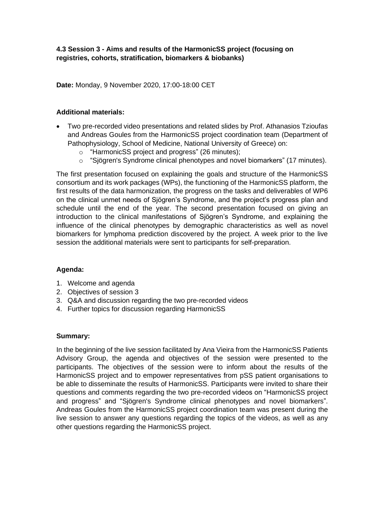# **4.3 Session 3 - Aims and results of the HarmonicSS project (focusing on registries, cohorts, stratification, biomarkers & biobanks)**

**Date:** Monday, 9 November 2020, 17:00-18:00 CET

# **Additional materials:**

- Two pre-recorded video presentations and related slides by Prof. Athanasios Tzioufas and Andreas Goules from the HarmonicSS project coordination team (Department of Pathophysiology, School of Medicine, National University of Greece) on:
	- o "HarmonicSS project and progress" (26 minutes);
	- o "Sjögren's Syndrome clinical phenotypes and novel biomarkers" (17 minutes).

The first presentation focused on explaining the goals and structure of the HarmonicSS consortium and its work packages (WPs), the functioning of the HarmonicSS platform, the first results of the data harmonization, the progress on the tasks and deliverables of WP6 on the clinical unmet needs of Sjögren's Syndrome, and the project's progress plan and schedule until the end of the year. The second presentation focused on giving an introduction to the clinical manifestations of Sjögren's Syndrome, and explaining the influence of the clinical phenotypes by demographic characteristics as well as novel biomarkers for lymphoma prediction discovered by the project. A week prior to the live session the additional materials were sent to participants for self-preparation.

# **Agenda:**

- 1. Welcome and agenda
- 2. Objectives of session 3
- 3. Q&A and discussion regarding the two pre-recorded videos
- 4. Further topics for discussion regarding HarmonicSS

# **Summary:**

In the beginning of the live session facilitated by Ana Vieira from the HarmonicSS Patients Advisory Group, the agenda and objectives of the session were presented to the participants. The objectives of the session were to inform about the results of the HarmonicSS project and to empower representatives from pSS patient organisations to be able to disseminate the results of HarmonicSS. Participants were invited to share their questions and comments regarding the two pre-recorded videos on "HarmonicSS project and progress" and "Sjögren's Syndrome clinical phenotypes and novel biomarkers". Andreas Goules from the HarmonicSS project coordination team was present during the live session to answer any questions regarding the topics of the videos, as well as any other questions regarding the HarmonicSS project.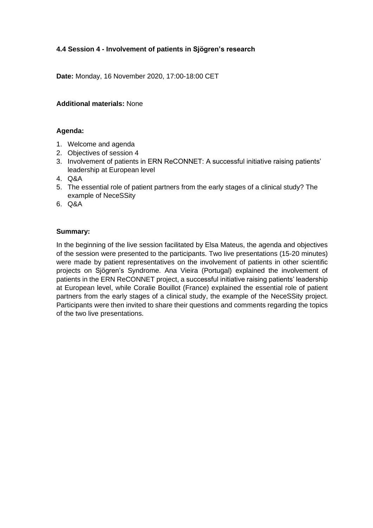# **4.4 Session 4 - Involvement of patients in Sjögren's research**

**Date:** Monday, 16 November 2020, 17:00-18:00 CET

# **Additional materials:** None

# **Agenda:**

- 1. Welcome and agenda
- 2. Objectives of session 4
- 3. Involvement of patients in ERN ReCONNET: A successful initiative raising patients' leadership at European level
- 4. Q&A
- 5. The essential role of patient partners from the early stages of a clinical study? The example of NeceSSity
- 6. Q&A

# **Summary:**

In the beginning of the live session facilitated by Elsa Mateus, the agenda and objectives of the session were presented to the participants. Two live presentations (15-20 minutes) were made by patient representatives on the involvement of patients in other scientific projects on Sjögren's Syndrome. Ana Vieira (Portugal) explained the involvement of patients in the ERN ReCONNET project, a successful initiative raising patients' leadership at European level, while Coralie Bouillot (France) explained the essential role of patient partners from the early stages of a clinical study, the example of the NeceSSity project. Participants were then invited to share their questions and comments regarding the topics of the two live presentations.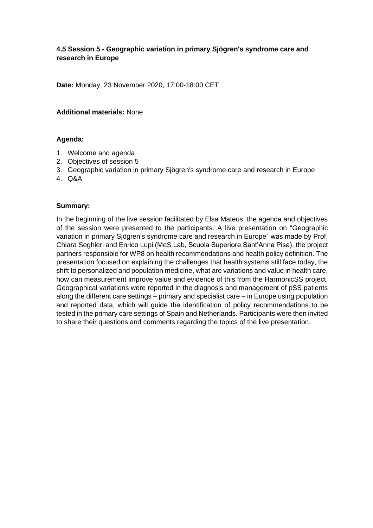# **4.5 Session 5 - Geographic variation in primary Sjögren's syndrome care and research in Europe**

**Date:** Monday, 23 November 2020, 17:00-18:00 CET

#### **Additional materials:** None

#### **Agenda:**

- 1. Welcome and agenda
- 2. Objectives of session 5
- 3. Geographic variation in primary Sjögren's syndrome care and research in Europe
- 4. Q&A

#### **Summary:**

In the beginning of the live session facilitated by Elsa Mateus, the agenda and objectives of the session were presented to the participants. A live presentation on "Geographic variation in primary Sjögren's syndrome care and research in Europe" was made by Prof. Chiara Seghieri and Enrico Lupi (MeS Lab, Scuola Superiore Sant'Anna Pisa), the project partners responsible for WP8 on health recommendations and health policy definition. The presentation focused on explaining the challenges that health systems still face today, the shift to personalized and population medicine, what are variations and value in health care, how can measurement improve value and evidence of this from the HarmonicSS project. Geographical variations were reported in the diagnosis and management of pSS patients along the different care settings – primary and specialist care – in Europe using population and reported data, which will guide the identification of policy recommendations to be tested in the primary care settings of Spain and Netherlands. Participants were then invited to share their questions and comments regarding the topics of the live presentation.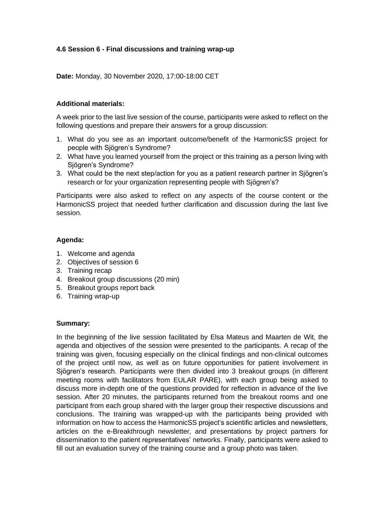# **4.6 Session 6 - Final discussions and training wrap-up**

**Date:** Monday, 30 November 2020, 17:00-18:00 CET

# **Additional materials:**

A week prior to the last live session of the course, participants were asked to reflect on the following questions and prepare their answers for a group discussion:

- 1. What do you see as an important outcome/benefit of the HarmonicSS project for people with Sjögren's Syndrome?
- 2. What have you learned yourself from the project or this training as a person living with Sjögren's Syndrome?
- 3. What could be the next step/action for you as a patient research partner in Sjögren's research or for your organization representing people with Sjögren's?

Participants were also asked to reflect on any aspects of the course content or the HarmonicSS project that needed further clarification and discussion during the last live session.

# **Agenda:**

- 1. Welcome and agenda
- 2. Objectives of session 6
- 3. Training recap
- 4. Breakout group discussions (20 min)
- 5. Breakout groups report back
- 6. Training wrap-up

# **Summary:**

In the beginning of the live session facilitated by Elsa Mateus and Maarten de Wit, the agenda and objectives of the session were presented to the participants. A recap of the training was given, focusing especially on the clinical findings and non-clinical outcomes of the project until now, as well as on future opportunities for patient involvement in Sjögren's research. Participants were then divided into 3 breakout groups (in different meeting rooms with facilitators from EULAR PARE), with each group being asked to discuss more in-depth one of the questions provided for reflection in advance of the live session. After 20 minutes, the participants returned from the breakout rooms and one participant from each group shared with the larger group their respective discussions and conclusions. The training was wrapped-up with the participants being provided with information on how to access the HarmonicSS project's scientific articles and newsletters, articles on the e-Breakthrough newsletter, and presentations by project partners for dissemination to the patient representatives' networks. Finally, participants were asked to fill out an evaluation survey of the training course and a group photo was taken.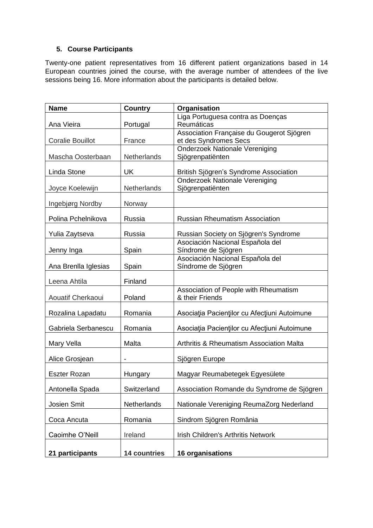# **5. Course Participants**

Twenty-one patient representatives from 16 different patient organizations based in 14 European countries joined the course, with the average number of attendees of the live sessions being 16. More information about the participants is detailed below.

| <b>Name</b>             | <b>Country</b>      | Organisation                                            |
|-------------------------|---------------------|---------------------------------------------------------|
| Ana Vieira              | Portugal            | Liga Portuguesa contra as Doenças<br>Reumáticas         |
|                         |                     | Association Française du Gougerot Sjögren               |
| <b>Coralie Bouillot</b> | France              | et des Syndromes Secs                                   |
|                         |                     | <b>Onderzoek Nationale Vereniging</b>                   |
| Mascha Oosterbaan       | Netherlands         | Sjögrenpatiënten                                        |
| Linda Stone             | <b>UK</b>           | British Sjögren's Syndrome Association                  |
|                         |                     | <b>Onderzoek Nationale Vereniging</b>                   |
| Joyce Koelewijn         | Netherlands         | Sjögrenpatiënten                                        |
| <b>Ingebjørg Nordby</b> | Norway              |                                                         |
| Polina Pchelnikova      | Russia              | <b>Russian Rheumatism Association</b>                   |
| Yulia Zaytseva          | Russia              | Russian Society on Sjögren's Syndrome                   |
|                         |                     | Asociación Nacional Española del                        |
| Jenny Inga              | Spain               | Síndrome de Sjögren                                     |
|                         | Spain               | Asociación Nacional Española del<br>Síndrome de Sjögren |
| Ana Brenlla Iglesias    |                     |                                                         |
| Leena Ahtila            | Finland             |                                                         |
|                         |                     | Association of People with Rheumatism                   |
| Aouatif Cherkaoui       | Poland              | & their Friends                                         |
| Rozalina Lapadatu       | Romania             | Asociația Pacienților cu Afecțiuni Autoimune            |
|                         |                     |                                                         |
| Gabriela Serbanescu     | Romania             | Asociația Pacienților cu Afecțiuni Autoimune            |
| Mary Vella              | Malta               | <b>Arthritis &amp; Rheumatism Association Malta</b>     |
| Alice Grosjean          |                     | Sjögren Europe                                          |
| <b>Eszter Rozan</b>     | Hungary             | Magyar Reumabetegek Egyesülete                          |
|                         |                     |                                                         |
| Antonella Spada         | Switzerland         | Association Romande du Syndrome de Sjögren              |
| Josien Smit             | Netherlands         | Nationale Vereniging ReumaZorg Nederland                |
| Coca Ancuta             | Romania             | Sindrom Sjögren România                                 |
| Caoimhe O'Neill         | Ireland             | <b>Irish Children's Arthritis Network</b>               |
|                         |                     |                                                         |
| 21 participants         | <b>14 countries</b> | 16 organisations                                        |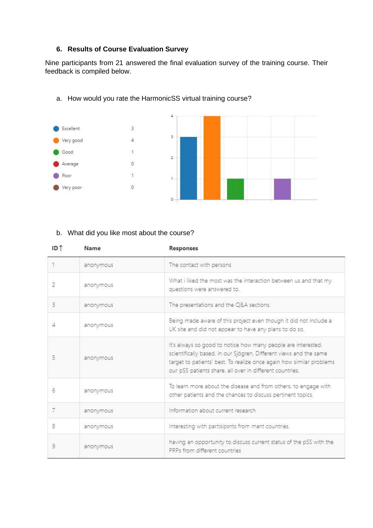# **6. Results of Course Evaluation Survey**

Nine participants from 21 answered the final evaluation survey of the training course. Their feedback is compiled below.



# a. How would you rate the HarmonicSS virtual training course?

#### b. What did you like most about the course?

| ID T | Name      | Responses                                                                                                                                                                                                                                                               |
|------|-----------|-------------------------------------------------------------------------------------------------------------------------------------------------------------------------------------------------------------------------------------------------------------------------|
|      | anonymous | The contact with persons                                                                                                                                                                                                                                                |
| 2    | anonymous | What i liked the most was the interaction between us and that my<br>questions were answered to.                                                                                                                                                                         |
| 3    | anonymous | The presentations and the Q&A sections.                                                                                                                                                                                                                                 |
| 4    | anonymous | Being made aware of this project even though it did not include a<br>UK site and did not appear to have any plans to do so.                                                                                                                                             |
|      | anonymous | It's always so good to notice how many people are interested,<br>scientifically based, in our Sjögren. Different views and the same<br>target to patients' best. To realize once again how similar problems<br>our pSS patients share, all over in different countries, |
| 6    | anonymous | To learn more about the disease and from others, to engage with<br>other patients and the chances to discuss pertinent topics.                                                                                                                                          |
| 7    | anonymous | Information about current research                                                                                                                                                                                                                                      |
| 8    | anonymous | Interesting with partisipsnts from mant countries.                                                                                                                                                                                                                      |
| 9    | anonymous | having an opportunity to discuss current status of the pSS with the<br>PRPs from different countries                                                                                                                                                                    |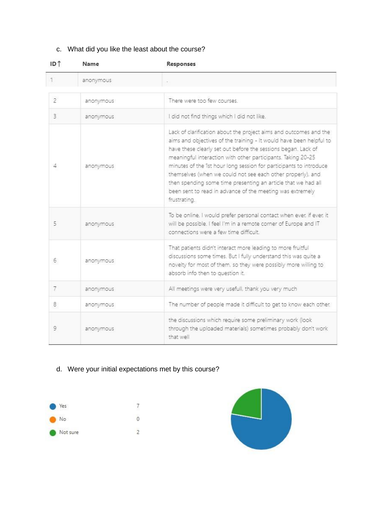# c. What did you like the least about the course?

| ID <sub>T</sub> | Name      | Responses                                                                                                                                                                                                                                                                                                                                                                                                                                                                                                                                                    |
|-----------------|-----------|--------------------------------------------------------------------------------------------------------------------------------------------------------------------------------------------------------------------------------------------------------------------------------------------------------------------------------------------------------------------------------------------------------------------------------------------------------------------------------------------------------------------------------------------------------------|
|                 | anonymous |                                                                                                                                                                                                                                                                                                                                                                                                                                                                                                                                                              |
| 2               | anonymous | There were too few courses                                                                                                                                                                                                                                                                                                                                                                                                                                                                                                                                   |
| 3               | anonymous | I did not find things which I did not like.                                                                                                                                                                                                                                                                                                                                                                                                                                                                                                                  |
| 4               | anonymous | Lack of clarification about the project aims and outcomes and the<br>aims and objectives of the training - It would have been helpful to<br>have these clearly set out before the sessions began. Lack of<br>meaningful interaction with other participants. Taking 20-25<br>minutes of the 1st hour long session for participants to introduce<br>themselves (when we could not see each other properly), and<br>then spending some time presenting an article that we had all<br>been sent to read in advance of the meeting was extremely<br>frustrating. |
| 5               | anonymous | To be online, I would prefer personal contact when ever, if ever, it<br>will be possible. I feel I'm in a remote corner of Europe and IT<br>connections were a few time difficult                                                                                                                                                                                                                                                                                                                                                                            |
| 6.              | anonymous | That patients didn't interact more leading to more fruitful<br>discussions some times. But I fully understand this was quite a<br>novelty for most of them, so they were possibly more willing to<br>absorb info then to question it.                                                                                                                                                                                                                                                                                                                        |
| 7               | anonymous | All meetings were very usefull, thank you very much                                                                                                                                                                                                                                                                                                                                                                                                                                                                                                          |
| 8               | anonymous | The number of people made it difficult to get to know each other.                                                                                                                                                                                                                                                                                                                                                                                                                                                                                            |
| 9               | anonymous | the discussions which require some preliminary work (look<br>through the uploaded materials) sometimes probably don't work<br>that well                                                                                                                                                                                                                                                                                                                                                                                                                      |

# d. Were your initial expectations met by this course?



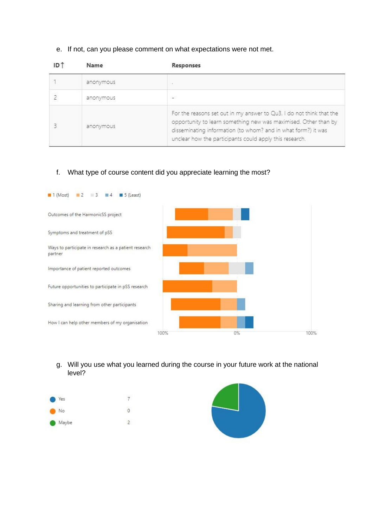#### e. If not, can you please comment on what expectations were not met.

| Name      | Responses                                                                                                                                                                                                                                                           |
|-----------|---------------------------------------------------------------------------------------------------------------------------------------------------------------------------------------------------------------------------------------------------------------------|
| anonymous | œ.                                                                                                                                                                                                                                                                  |
| anonymous |                                                                                                                                                                                                                                                                     |
| anonymous | For the reasons set out in my answer to Qu3, I do not think that the<br>opportunity to learn something new was maximised. Other than by<br>disseminating information (to whom? and in what form?) it was<br>unclear how the participants could apply this research. |

# f. What type of course content did you appreciate learning the most?



g. Will you use what you learned during the course in your future work at the national level?



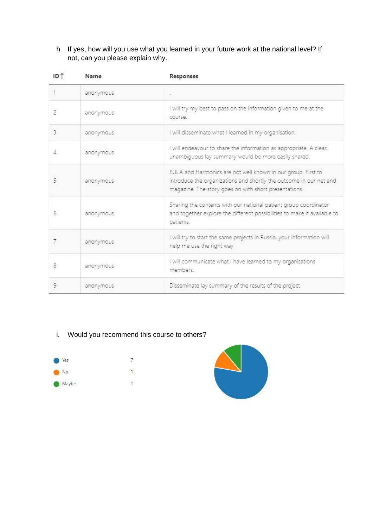h. If yes, how will you use what you learned in your future work at the national level? If not, can you please explain why.

| ID <sub>1</sub> | Name      | Responses                                                                                                                                                                                   |
|-----------------|-----------|---------------------------------------------------------------------------------------------------------------------------------------------------------------------------------------------|
|                 | anonymous |                                                                                                                                                                                             |
| $\overline{2}$  | anonymous | I will try my best to pass on the information given to me at the<br>course                                                                                                                  |
| 3               | anonymous | I will disseminate what I learned in my organisation.                                                                                                                                       |
| 4               | anonymous | I will endeavour to share the information as appropriate. A clear,<br>unambiguous lay summary would be more easily shared.                                                                  |
| 5               | anonymous | EULA and Harmonics are not well known in our group. First to<br>introduce the organizations and shortly the outcome in our net and<br>magazine. The story goes on with short presentations. |
| 6               | anonymous | Sharing the contents with our national patient group coordinator<br>and together explore the different possibilities to make it available to<br>patients.                                   |
| 7               | anonymous | I will try to start the same projects in Russia, your information will<br>help me use the right way                                                                                         |
| 8               | anonymous | I will communicate what I have learned to my organisations<br>members                                                                                                                       |
| 9               | anonymous | Disseminate lay summary of the results of the project                                                                                                                                       |

# i. Would you recommend this course to others?



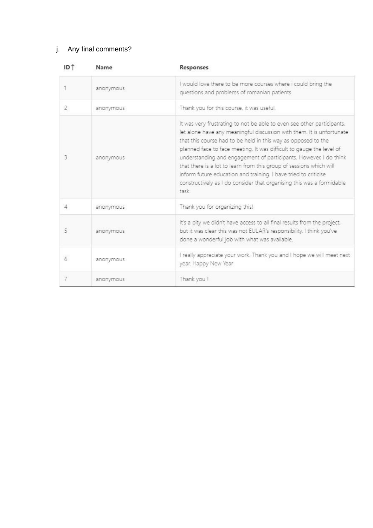# j. Any final comments?

| ID <sup>1</sup> | Name      | Responses                                                                                                                                                                                                                                                                                                                                                                                                                                                                                                                                                                                |
|-----------------|-----------|------------------------------------------------------------------------------------------------------------------------------------------------------------------------------------------------------------------------------------------------------------------------------------------------------------------------------------------------------------------------------------------------------------------------------------------------------------------------------------------------------------------------------------------------------------------------------------------|
|                 | anonymous | I would love there to be more courses where i could bring the<br>questions and problems of romanian patients                                                                                                                                                                                                                                                                                                                                                                                                                                                                             |
| 2               | anonymous | Thank you for this course, it was useful.                                                                                                                                                                                                                                                                                                                                                                                                                                                                                                                                                |
| 3               | anonymous | It was very frustrating to not be able to even see other participants,<br>let alone have any meaningful discussion with them. It is unfortunate<br>that this course had to be held in this way as opposed to the<br>planned face to face meeting. It was difficult to gauge the level of<br>understanding and engagement of participants. However, I do think<br>that there is a lot to learn from this group of sessions which will<br>inform future education and training. I have tried to criticise<br>constructively as I do consider that organising this was a formidable<br>task |
| 4               | anonymous | Thank you for organizing this!                                                                                                                                                                                                                                                                                                                                                                                                                                                                                                                                                           |
| 5               | anonymous | It's a pity we didn't have access to all final results from the project,<br>but it was clear this was not EULAR's responsibility. I think you've<br>done a wonderful job with what was available.                                                                                                                                                                                                                                                                                                                                                                                        |
| 6               | anonymous | I really appreciate your work. Thank you and I hope we will meet next<br>year. Happy New Year                                                                                                                                                                                                                                                                                                                                                                                                                                                                                            |
| 7               | anonymous | Thank you !                                                                                                                                                                                                                                                                                                                                                                                                                                                                                                                                                                              |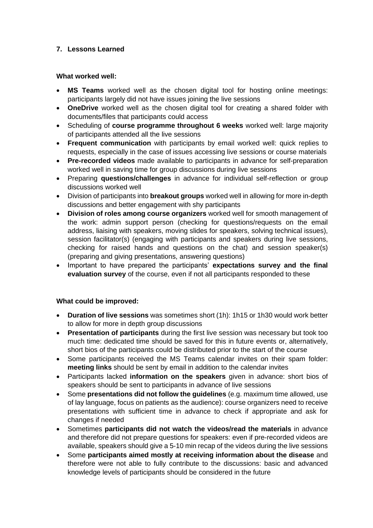# **7. Lessons Learned**

# **What worked well:**

- **MS Teams** worked well as the chosen digital tool for hosting online meetings: participants largely did not have issues joining the live sessions
- **OneDrive** worked well as the chosen digital tool for creating a shared folder with documents/files that participants could access
- Scheduling of **course programme throughout 6 weeks** worked well: large majority of participants attended all the live sessions
- **Frequent communication** with participants by email worked well: quick replies to requests, especially in the case of issues accessing live sessions or course materials
- **Pre-recorded videos** made available to participants in advance for self-preparation worked well in saving time for group discussions during live sessions
- Preparing **questions/challenges** in advance for individual self-reflection or group discussions worked well
- Division of participants into **breakout groups** worked well in allowing for more in-depth discussions and better engagement with shy participants
- **Division of roles among course organizers** worked well for smooth management of the work: admin support person (checking for questions/requests on the email address, liaising with speakers, moving slides for speakers, solving technical issues), session facilitator(s) (engaging with participants and speakers during live sessions, checking for raised hands and questions on the chat) and session speaker(s) (preparing and giving presentations, answering questions)
- Important to have prepared the participants' **expectations survey and the final evaluation survey** of the course, even if not all participants responded to these

# **What could be improved:**

- **Duration of live sessions** was sometimes short (1h): 1h15 or 1h30 would work better to allow for more in depth group discussions
- **Presentation of participants** during the first live session was necessary but took too much time: dedicated time should be saved for this in future events or, alternatively, short bios of the participants could be distributed prior to the start of the course
- Some participants received the MS Teams calendar invites on their spam folder: **meeting links** should be sent by email in addition to the calendar invites
- Participants lacked **information on the speakers** given in advance: short bios of speakers should be sent to participants in advance of live sessions
- Some **presentations did not follow the guidelines** (e.g. maximum time allowed, use of lay language, focus on patients as the audience): course organizers need to receive presentations with sufficient time in advance to check if appropriate and ask for changes if needed
- Sometimes **participants did not watch the videos/read the materials** in advance and therefore did not prepare questions for speakers: even if pre-recorded videos are available, speakers should give a 5-10 min recap of the videos during the live sessions
- Some **participants aimed mostly at receiving information about the disease** and therefore were not able to fully contribute to the discussions: basic and advanced knowledge levels of participants should be considered in the future